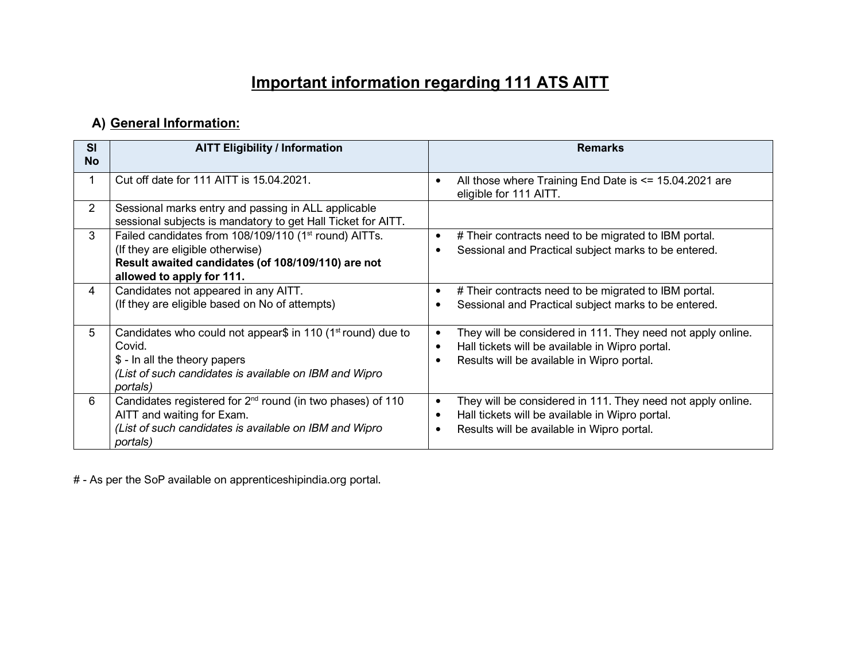## **Important information regarding 111 ATS AITT**

## **A) General Information:**

| <b>SI</b><br><b>No</b> | <b>AITT Eligibility / Information</b>                                                                                                                                                    | <b>Remarks</b>                                                                                                                                               |
|------------------------|------------------------------------------------------------------------------------------------------------------------------------------------------------------------------------------|--------------------------------------------------------------------------------------------------------------------------------------------------------------|
|                        | Cut off date for 111 AITT is 15.04.2021.                                                                                                                                                 | All those where Training End Date is $\le$ 15.04.2021 are<br>eligible for 111 AITT.                                                                          |
| $\overline{2}$         | Sessional marks entry and passing in ALL applicable<br>sessional subjects is mandatory to get Hall Ticket for AITT.                                                                      |                                                                                                                                                              |
| 3                      | Failed candidates from 108/109/110 (1 <sup>st</sup> round) AITTs.<br>(If they are eligible otherwise)<br>Result awaited candidates (of 108/109/110) are not<br>allowed to apply for 111. | # Their contracts need to be migrated to IBM portal.<br>Sessional and Practical subject marks to be entered.                                                 |
| 4                      | Candidates not appeared in any AITT.<br>(If they are eligible based on No of attempts)                                                                                                   | # Their contracts need to be migrated to IBM portal.<br>Sessional and Practical subject marks to be entered.                                                 |
| 5                      | Candidates who could not appear\$ in 110 (1 <sup>st</sup> round) due to<br>Covid.<br>\$ - In all the theory papers<br>(List of such candidates is available on IBM and Wipro<br>portals) | They will be considered in 111. They need not apply online.<br>Hall tickets will be available in Wipro portal.<br>Results will be available in Wipro portal. |
| 6                      | Candidates registered for 2 <sup>nd</sup> round (in two phases) of 110<br>AITT and waiting for Exam.<br>(List of such candidates is available on IBM and Wipro<br>portals)               | They will be considered in 111. They need not apply online.<br>Hall tickets will be available in Wipro portal.<br>Results will be available in Wipro portal. |

# - As per the SoP available on apprenticeshipindia.org portal.